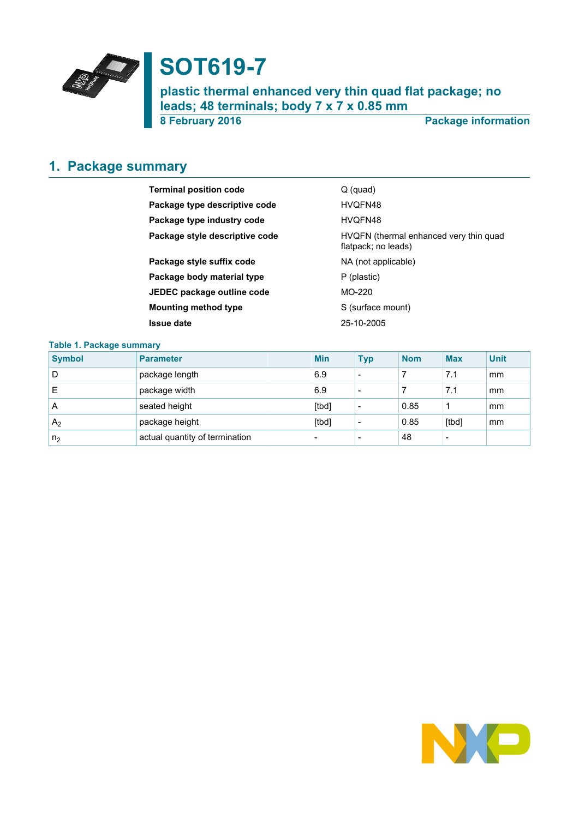

# **SOT619-7**

**plastic thermal enhanced very thin quad flat package; no leads; 48 terminals; body 7 x 7 x 0.85 mm**

**8 February 2016 Package information**

# <span id="page-0-0"></span>**1. Package summary**

| <b>Terminal position code</b>  | $Q$ (quad)                                                    |
|--------------------------------|---------------------------------------------------------------|
| Package type descriptive code  | HVQFN48                                                       |
| Package type industry code     | HVOFN48                                                       |
| Package style descriptive code | HVQFN (thermal enhanced very thin quad<br>flatpack; no leads) |
| Package style suffix code      | NA (not applicable)                                           |
| Package body material type     | P (plastic)                                                   |
| JEDEC package outline code     | $MO-220$                                                      |
| <b>Mounting method type</b>    | S (surface mount)                                             |
| <b>Issue date</b>              | 25-10-2005                                                    |

### **Table 1. Package summary**

| <b>Symbol</b>  | <b>Parameter</b>               | <b>Min</b>               | <b>Typ</b>               | <b>Nom</b> | <b>Max</b>               | <b>Unit</b> |
|----------------|--------------------------------|--------------------------|--------------------------|------------|--------------------------|-------------|
| D              | package length                 | 6.9                      | $\overline{\phantom{0}}$ |            | 7.1                      | mm          |
| E              | package width                  | 6.9                      | $\overline{\phantom{0}}$ |            | 7.1                      | mm          |
| A              | seated height                  | [tbd]                    | $\overline{\phantom{0}}$ | 0.85       | 1                        | mm          |
| A <sub>2</sub> | package height                 | [tbd]                    | $\overline{\phantom{0}}$ | 0.85       | [tbd]                    | mm          |
| n <sub>2</sub> | actual quantity of termination | $\overline{\phantom{0}}$ |                          | 48         | $\overline{\phantom{0}}$ |             |

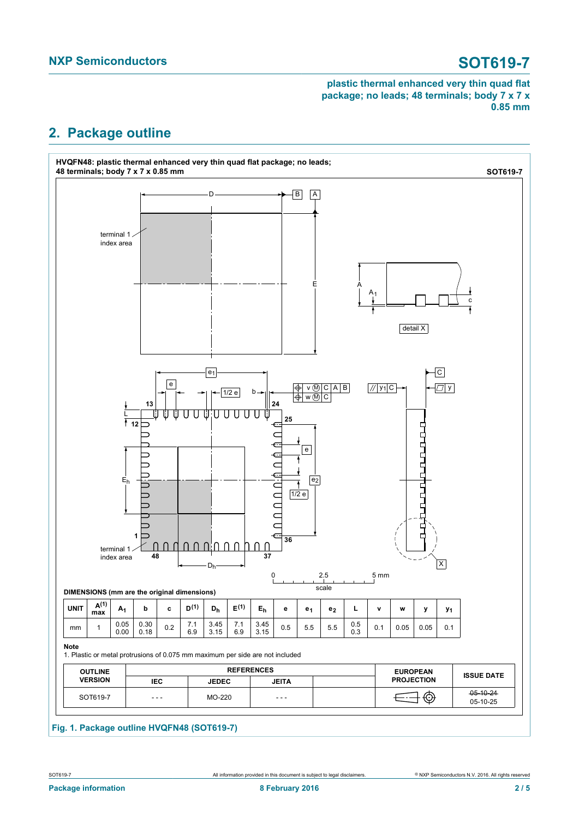# <span id="page-1-0"></span>**2. Package outline**

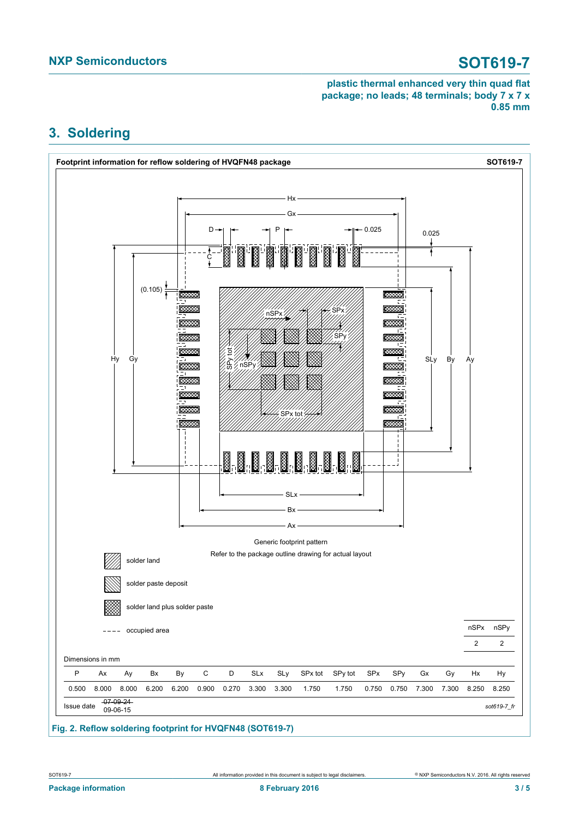# <span id="page-2-0"></span>**3. Soldering**



**Fig. 2. Reflow soldering footprint for HVQFN48 (SOT619-7)**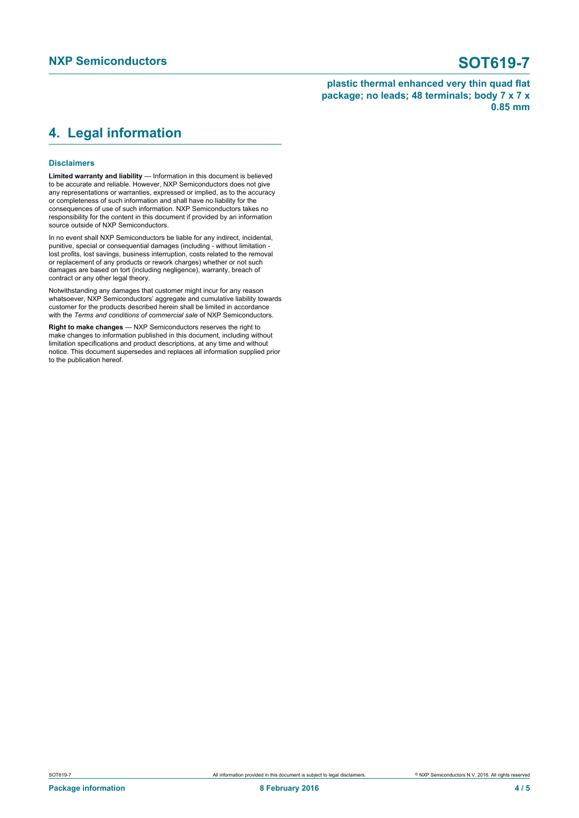### <span id="page-3-0"></span>**4. Legal information**

### **Disclaimers**

**Limited warranty and liability** — Information in this document is believed to be accurate and reliable. However, NXP Semiconductors does not give any representations or warranties, expressed or implied, as to the accuracy or completeness of such information and shall have no liability for the consequences of use of such information. NXP Semiconductors takes no responsibility for the content in this document if provided by an information source outside of NXP Semiconductors.

In no event shall NXP Semiconductors be liable for any indirect, incidental, punitive, special or consequential damages (including - without limitation lost profits, lost savings, business interruption, costs related to the removal or replacement of any products or rework charges) whether or not such damages are based on tort (including negligence), warranty, breach of contract or any other legal theory.

Notwithstanding any damages that customer might incur for any reason whatsoever, NXP Semiconductors' aggregate and cumulative liability towards customer for the products described herein shall be limited in accordance with the *Terms and conditions of commercial sale* of NXP Semiconductors.

**Right to make changes** — NXP Semiconductors reserves the right to make changes to information published in this document, including without limitation specifications and product descriptions, at any time and without notice. This document supersedes and replaces all information supplied prior to the publication hereof.